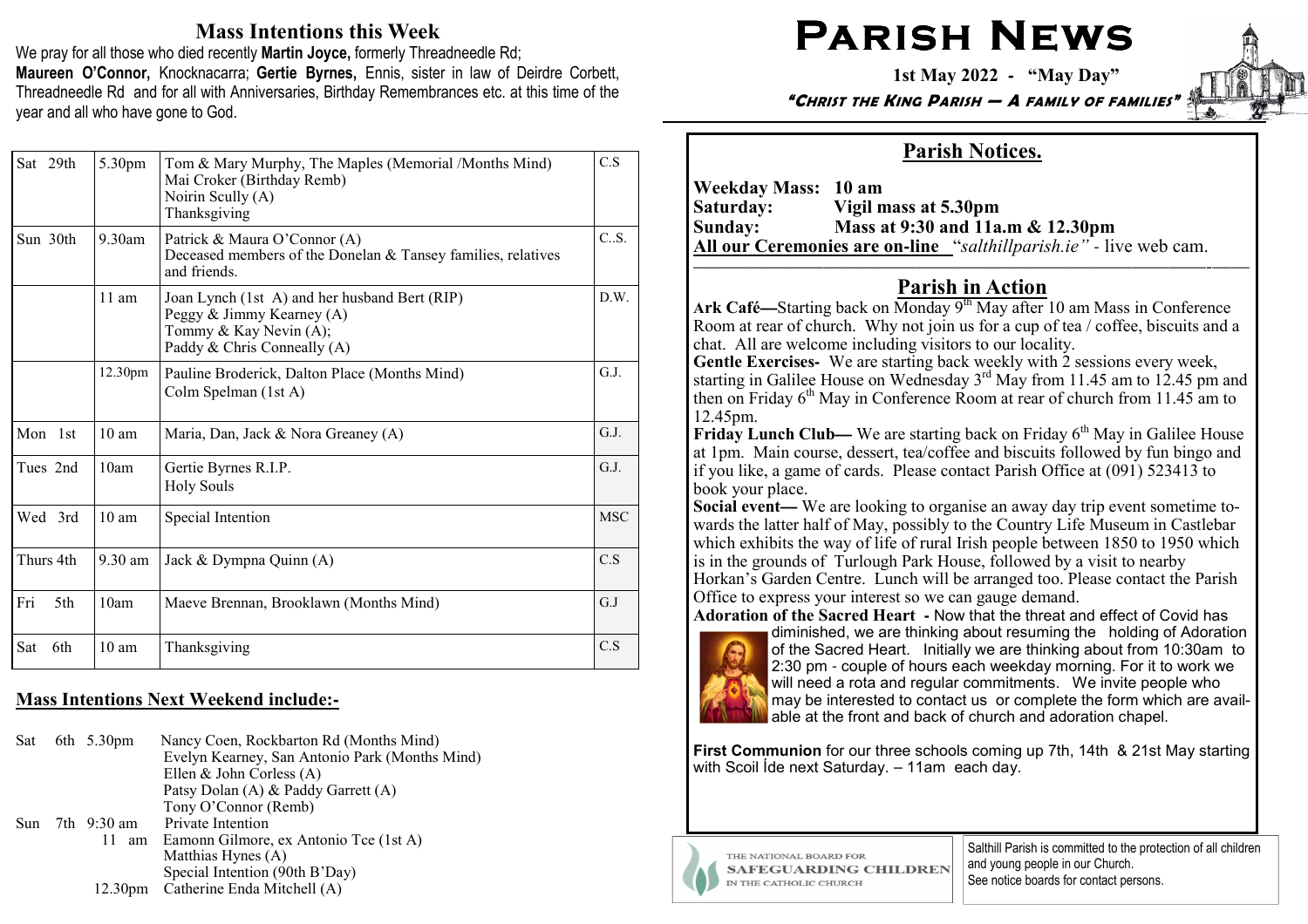# Mass Intentions this Week

We pray for all those who died recently Martin Joyce, formerly Threadneedle Rd; Maureen O'Connor, Knocknacarra; Gertie Byrnes, Ennis, sister in law of Deirdre Corbett, Threadneedle Rd and for all with Anniversaries, Birthday Remembrances etc. at this time of the year and all who have gone to God.

| Sat 29th   | 5.30pm            | Tom & Mary Murphy, The Maples (Memorial /Months Mind)<br>Mai Croker (Birthday Remb)<br>Noirin Scully (A)<br>Thanksgiving            | C.S        |
|------------|-------------------|-------------------------------------------------------------------------------------------------------------------------------------|------------|
| Sun 30th   | $9.30$ am         | Patrick & Maura O'Connor (A)<br>Deceased members of the Donelan & Tansey families, relatives<br>and friends.                        | C.S.       |
|            | $11 \text{ am}$   | Joan Lynch (1st A) and her husband Bert (RIP)<br>Peggy & Jimmy Kearney (A)<br>Tommy & Kay Nevin (A);<br>Paddy & Chris Conneally (A) | D.W.       |
|            | 12.30pm           | Pauline Broderick, Dalton Place (Months Mind)<br>Colm Spelman (1st A)                                                               | G.J.       |
| Mon 1st    | $10 \text{ am}$   | Maria, Dan, Jack & Nora Greaney (A)                                                                                                 | G.J.       |
| Tues 2nd   | 10am              | Gertie Byrnes R.I.P.<br><b>Holy Souls</b>                                                                                           | G.J.       |
| Wed 3rd    | 10 <sub>am</sub>  | Special Intention                                                                                                                   | <b>MSC</b> |
| Thurs 4th  | $9.30 \text{ am}$ | Jack & Dympna Quinn (A)                                                                                                             | C.S        |
| Fri<br>5th | 10am              | Maeve Brennan, Brooklawn (Months Mind)                                                                                              | G.J        |
| Sat<br>6th | 10 <sub>am</sub>  | Thanksgiving                                                                                                                        | C.S        |

# Mass Intentions Next Weekend include:**-**

Sat 6th 5.30pm Nancy Coen, Rockbarton Rd (Months Mind) Evelyn Kearney, San Antonio Park (Months Mind) Ellen & John Corless (A) Patsy Dolan (A) & Paddy Garrett (A) Tony O'Connor (Remb)Sun 7th 9:30 am Private Intention 11 am Eamonn Gilmore, ex Antonio Tce (1st A) Matthias Hynes (A) Special Intention (90th B'Day)12.30pm Catherine Enda Mitchell (A)

# PARISH NEWS

1st May 2022 **-** "May Day"

"CHRIST THE KING PARISH — A FAMILY OF FAMILIES"

# Parish Notices.

Weekday Mass: 10 am<br>Saturday: Vigil n Saturday: Vigil mass at 5.30pm Sunday: Mass at 9:30 and 11a.m & 12.30pm All our Ceremonies are on**-**line "salthillparish.ie" *-* live web cam.

#### —————————————————————–——————-——Parish in Action

Ark Café—Starting back on Monday 9<sup>th</sup> May after 10 am Mass in Conference Room at rear of church. Why not join us for a cup of tea / coffee, biscuits and a chat. All are welcome including visitors to our locality.

 Gentle Exercises**-** We are starting back weekly with 2 sessions every week, starting in Galilee House on Wednesday  $3<sup>rd</sup>$  May from 11.45 am to 12.45 pm and then on Friday  $6<sup>th</sup>$  May in Conference Room at rear of church from 11.45 am to 12.45pm.

**Friday Lunch Club—** We are starting back on Friday 6<sup>th</sup> May in Galilee House at 1pm. Main course, dessert, tea/coffee and biscuits followed by fun bingo and at 1pm. Main course, dessert, tea/coffee and biscuits followed by fun bingo and if you like, a game of cards. Please contact Parish Office at (091) 523413 to book your place.

 Social event**—Social event—** We are looking to organise an away day trip event sometime to-wards the latter half of May, possibly to the Country Life Museum in Castlebar which exhibits the way of life of rural Irish people between 1850 to 1950 which is in the grounds of Turlough Park House, followed by a visit to nearby Horkan's Garden Centre. Lunch will be arranged too. Please contact the Parish Office to express your interest so we can gauge demand.

Adoration of the Sacred Heart **-** Now that the threat and effect of Covid has



diminished, we are thinking about resuming the holding of Adoration of the Sacred Heart. Initially we are thinking about from 10:30am to 2:30 pm - couple of hours each weekday morning. For it to work we will need a rota and regular commitments. We invite people who may be interested to contact us or complete the form which are available at the front and back of church and adoration chapel.

First Communion for our three schools coming up 7th, 14th & 21st May starting with Scoil Ide next Saturday. - 11am each day.



THE NATIONAL BOARD FOR **SAFEGUARDING CHILDREN** IN THE CATHOLIC CHURCH

Salthill Parish is committed to the protection of all children and young people in our Church. See notice boards for contact persons.